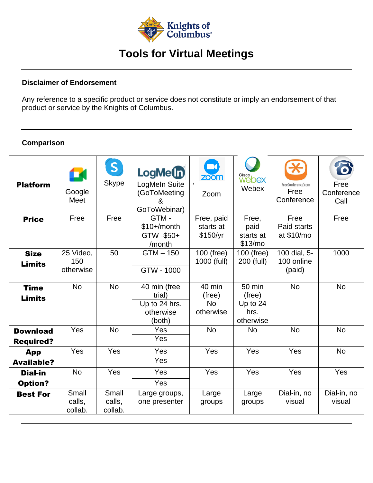

# **Tools for Virtual Meetings**

#### **Disclaimer of Endorsement**

Any reference to a specific product or service does not constitute or imply an endorsement of that product or service by the Knights of Columbus.

### **Comparison**

| <b>Platform</b>                     | K<br>Google<br>Meet           | $\vert S \vert$<br>Skype   | LogMe(n)<br>LogMeIn Suite<br>(GoToMeeting<br>GoToWebinar)      | $\Box$<br>zoom<br>Zoom                     | Cisco<br>Webex<br>Webex                             | FreeConference <sup>®</sup> com<br>Free<br>Conference | Ó<br>Free<br>Conference<br>Call |
|-------------------------------------|-------------------------------|----------------------------|----------------------------------------------------------------|--------------------------------------------|-----------------------------------------------------|-------------------------------------------------------|---------------------------------|
| <b>Price</b>                        | Free                          | Free                       | GTM-<br>$$10+/month$<br>GTW -\$50+<br>/month                   | Free, paid<br>starts at<br>\$150/yr        | Free.<br>paid<br>starts at<br>\$13/m <sub>o</sub>   | Free<br>Paid starts<br>at \$10/mo                     | Free                            |
| <b>Size</b><br><b>Limits</b>        | 25 Video,<br>150<br>otherwise | 50                         | $GTM - 150$<br>GTW - 1000                                      | 100 (free)<br>1000 (full)                  | 100 (free)<br>200 (full)                            | 100 dial, 5-<br>100 online<br>(paid)                  | 1000                            |
| <b>Time</b><br><b>Limits</b>        | <b>No</b>                     | <b>No</b>                  | 40 min (free<br>trial)<br>Up to 24 hrs.<br>otherwise<br>(both) | 40 min<br>(free)<br><b>No</b><br>otherwise | 50 min<br>(free)<br>Up to $24$<br>hrs.<br>otherwise | <b>No</b>                                             | <b>No</b>                       |
| <b>Download</b><br><b>Required?</b> | Yes                           | <b>No</b>                  | Yes<br>Yes                                                     | <b>No</b>                                  | <b>No</b>                                           | No                                                    | <b>No</b>                       |
| App<br><b>Available?</b>            | Yes                           | Yes                        | Yes<br>Yes                                                     | Yes                                        | Yes                                                 | Yes                                                   | <b>No</b>                       |
| <b>Dial-in</b><br><b>Option?</b>    | <b>No</b>                     | Yes                        | Yes<br>Yes                                                     | Yes                                        | Yes                                                 | Yes                                                   | Yes                             |
| <b>Best For</b>                     | Small<br>calls,<br>collab.    | Small<br>calls,<br>collab. | Large groups,<br>one presenter                                 | Large<br>groups                            | Large<br>groups                                     | Dial-in, no<br>visual                                 | Dial-in, no<br>visual           |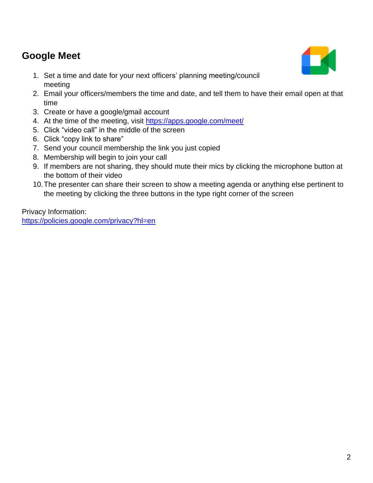## **Google Meet**

- 1. Set a time and date for your next officers' planning meeting/council meeting
- 2. Email your officers/members the time and date, and tell them to have their email open at that time
- 3. Create or have a google/gmail account
- 4. At the time of the meeting, visit<https://apps.google.com/meet/>
- 5. Click "video call" in the middle of the screen
- 6. Click "copy link to share"
- 7. Send your council membership the link you just copied
- 8. Membership will begin to join your call
- 9. If members are not sharing, they should mute their mics by clicking the microphone button at the bottom of their video
- 10.The presenter can share their screen to show a meeting agenda or anything else pertinent to the meeting by clicking the three buttons in the type right corner of the screen

Privacy Information: <https://policies.google.com/privacy?hl=en>

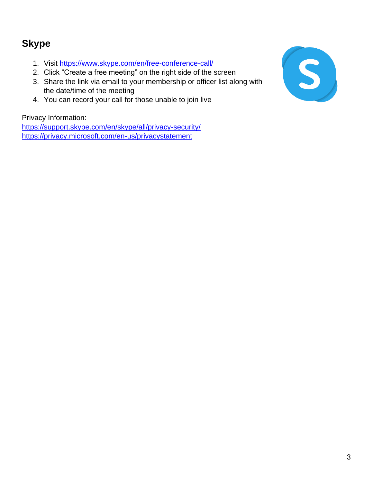## **Skype**

- 1. Visit<https://www.skype.com/en/free-conference-call/>
- 2. Click "Create a free meeting" on the right side of the screen
- 3. Share the link via email to your membership or officer list along with the date/time of the meeting
- 4. You can record your call for those unable to join live

Privacy Information:

<https://support.skype.com/en/skype/all/privacy-security/> <https://privacy.microsoft.com/en-us/privacystatement>

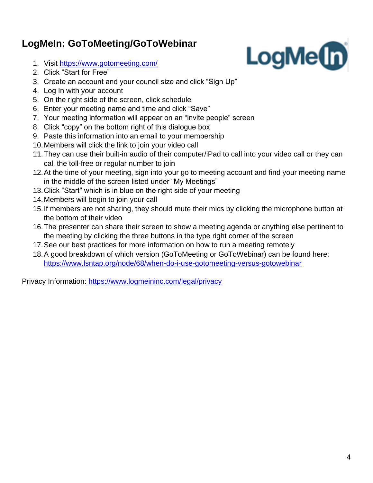# **LogMeIn: GoToMeeting/GoToWebinar**

- 1. Visit<https://www.gotomeeting.com/>
- 2. Click "Start for Free"
- 3. Create an account and your council size and click "Sign Up"
- 4. Log In with your account
- 5. On the right side of the screen, click schedule
- 6. Enter your meeting name and time and click "Save"
- 7. Your meeting information will appear on an "invite people" screen
- 8. Click "copy" on the bottom right of this dialogue box
- 9. Paste this information into an email to your membership
- 10.Members will click the link to join your video call
- 11.They can use their built-in audio of their computer/iPad to call into your video call or they can call the toll-free or regular number to join
- 12.At the time of your meeting, sign into your go to meeting account and find your meeting name in the middle of the screen listed under "My Meetings"
- 13.Click "Start" which is in blue on the right side of your meeting
- 14.Members will begin to join your call
- 15.If members are not sharing, they should mute their mics by clicking the microphone button at the bottom of their video
- 16.The presenter can share their screen to show a meeting agenda or anything else pertinent to the meeting by clicking the three buttons in the type right corner of the screen
- 17.See our best practices for more information on how to run a meeting remotely
- 18.A good breakdown of which version (GoToMeeting or GoToWebinar) can be found here: <https://www.lsntap.org/node/68/when-do-i-use-gotomeeting-versus-gotowebinar>

Privacy Information: <https://www.logmeininc.com/legal/privacy>

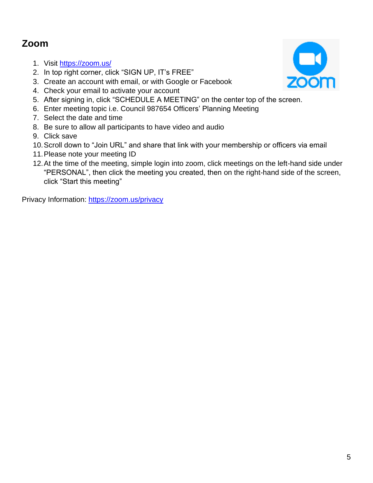## **Zoom**

- 1. Visit<https://zoom.us/>
- 2. In top right corner, click "SIGN UP, IT's FREE"
- 3. Create an account with email, or with Google or Facebook
- 4. Check your email to activate your account
- 5. After signing in, click "SCHEDULE A MEETING" on the center top of the screen.
- 6. Enter meeting topic i.e. Council 987654 Officers' Planning Meeting
- 7. Select the date and time
- 8. Be sure to allow all participants to have video and audio
- 9. Click save
- 10.Scroll down to "Join URL" and share that link with your membership or officers via email
- 11.Please note your meeting ID
- 12.At the time of the meeting, simple login into zoom, click meetings on the left-hand side under "PERSONAL", then click the meeting you created, then on the right-hand side of the screen, click "Start this meeting"

Privacy Information:<https://zoom.us/privacy>

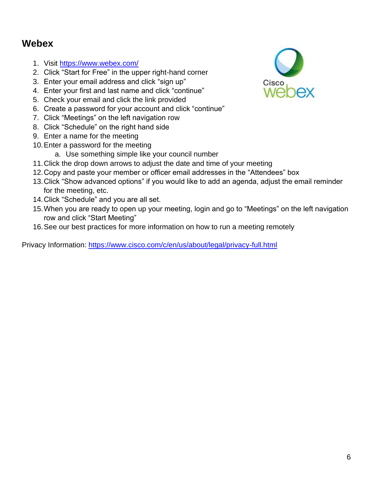### **Webex**

- 1. Visit<https://www.webex.com/>
- 2. Click "Start for Free" in the upper right-hand corner
- 3. Enter your email address and click "sign up"
- 4. Enter your first and last name and click "continue"
- 5. Check your email and click the link provided
- 6. Create a password for your account and click "continue"
- 7. Click "Meetings" on the left navigation row
- 8. Click "Schedule" on the right hand side
- 9. Enter a name for the meeting
- 10.Enter a password for the meeting
	- a. Use something simple like your council number
- 11.Click the drop down arrows to adjust the date and time of your meeting
- 12.Copy and paste your member or officer email addresses in the "Attendees" box
- 13.Click "Show advanced options" if you would like to add an agenda, adjust the email reminder for the meeting, etc.
- 14.Click "Schedule" and you are all set.
- 15.When you are ready to open up your meeting, login and go to "Meetings" on the left navigation row and click "Start Meeting"
- 16.See our best practices for more information on how to run a meeting remotely

Privacy Information:<https://www.cisco.com/c/en/us/about/legal/privacy-full.html>

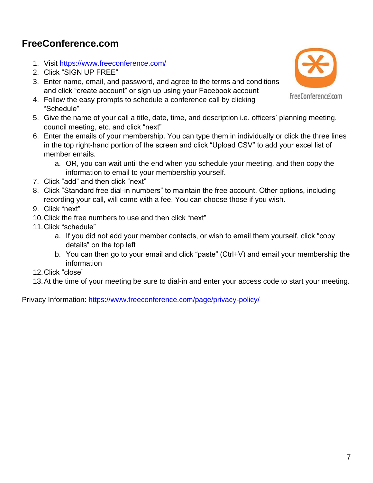## **FreeConference.com**

- 1. Visit<https://www.freeconference.com/>
- 2. Click "SIGN UP FREE"
- 3. Enter name, email, and password, and agree to the terms and conditions and click "create account" or sign up using your Facebook account
- 4. Follow the easy prompts to schedule a conference call by clicking "Schedule"
- 5. Give the name of your call a title, date, time, and description i.e. officers' planning meeting, council meeting, etc. and click "next"
- 6. Enter the emails of your membership. You can type them in individually or click the three lines in the top right-hand portion of the screen and click "Upload CSV" to add your excel list of member emails.
	- a. OR, you can wait until the end when you schedule your meeting, and then copy the information to email to your membership yourself.
- 7. Click "add" and then click "next"
- 8. Click "Standard free dial-in numbers" to maintain the free account. Other options, including recording your call, will come with a fee. You can choose those if you wish.
- 9. Click "next"
- 10.Click the free numbers to use and then click "next"
- 11.Click "schedule"
	- a. If you did not add your member contacts, or wish to email them yourself, click "copy details" on the top left
	- b. You can then go to your email and click "paste" (Ctrl+V) and email your membership the information
- 12.Click "close"
- 13.At the time of your meeting be sure to dial-in and enter your access code to start your meeting.

Privacy Information:<https://www.freeconference.com/page/privacy-policy/>

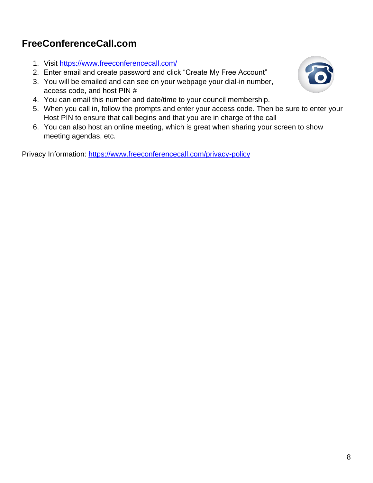# **FreeConferenceCall.com**

- 1. Visit<https://www.freeconferencecall.com/>
- 2. Enter email and create password and click "Create My Free Account"
- 3. You will be emailed and can see on your webpage your dial-in number, access code, and host PIN #
- 4. You can email this number and date/time to your council membership.
- 5. When you call in, follow the prompts and enter your access code. Then be sure to enter your Host PIN to ensure that call begins and that you are in charge of the call
- 6. You can also host an online meeting, which is great when sharing your screen to show meeting agendas, etc.

Privacy Information:<https://www.freeconferencecall.com/privacy-policy>

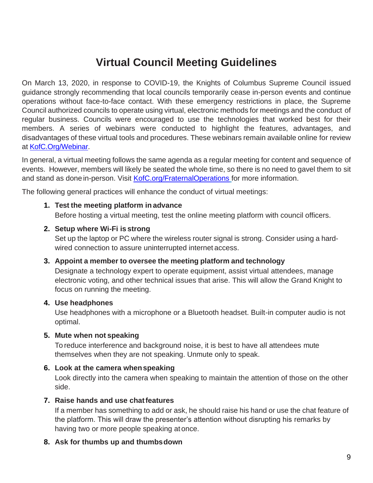# **Virtual Council Meeting Guidelines**

On March 13, 2020, in response to COVID-19, the Knights of Columbus Supreme Council issued guidance strongly recommending that local councils temporarily cease in-person events and continue operations without face-to-face contact. With these emergency restrictions in place, the Supreme Council authorized councils to operate using virtual, electronic methods for meetings and the conduct of regular business. Councils were encouraged to use the technologies that worked best for their members. A series of webinars were conducted to highlight the features, advantages, and disadvantages of these virtual tools and procedures. These webinars remain available online for review at [KofC.Org/Webinar.](http://www.kofc.org/en/for-members/our-webinars.html)

In general, a virtual meeting follows the same agenda as a regular meeting for content and sequence of events. However, members will likely be seated the whole time, so there is no need to gavel them to sit and stand as done in-person. Visit [KofC.org/FraternalOperations](http://www.kofc.org/en/for-members/resources/fraternal-operations.html?1tab=1tab0) for more information.

The following general practices will enhance the conduct of virtual meetings:

### **1. Test the meeting platform in advance**

Before hosting a virtual meeting, test the online meeting platform with council officers.

### **2. Setup where Wi-Fi is strong**

Set up the laptop or PC where the wireless router signal is strong. Consider using a hardwired connection to assure uninterrupted internet access.

### **3. Appoint a member to oversee the meeting platform and technology**

Designate a technology expert to operate equipment, assist virtual attendees, manage electronic voting, and other technical issues that arise. This will allow the Grand Knight to focus on running the meeting.

### **4. Use headphones**

Use headphones with a microphone or a Bluetooth headset. Built-in computer audio is not optimal.

### **5. Mute when not speaking**

To reduce interference and background noise, it is best to have all attendees mute themselves when they are not speaking. Unmute only to speak.

### **6. Look at the camera whenspeaking**

Look directly into the camera when speaking to maintain the attention of those on the other side.

### **7. Raise hands and use chatfeatures**

If a member has something to add or ask, he should raise his hand or use the chat feature of the platform. This will draw the presenter's attention without disrupting his remarks by having two or more people speaking at once.

### **8. Ask for thumbs up and thumbsdown**